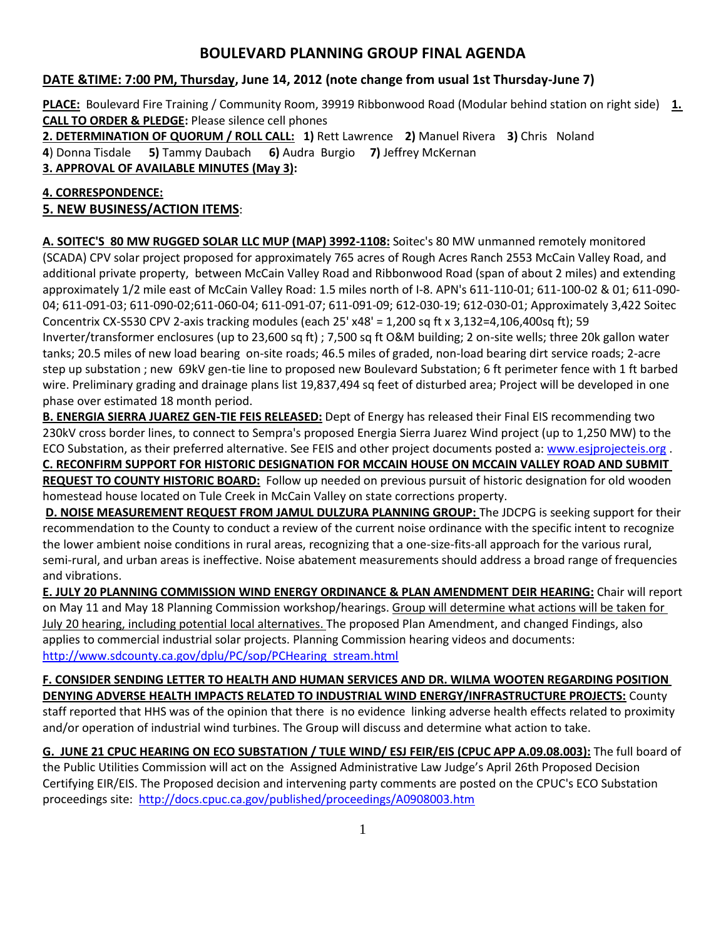# **BOULEVARD PLANNING GROUP FINAL AGENDA**

# **DATE &TIME: 7:00 PM, Thursday, June 14, 2012 (note change from usual 1st Thursday-June 7)**

**PLACE:** Boulevard Fire Training / Community Room, 39919 Ribbonwood Road (Modular behind station on right side) **1. CALL TO ORDER & PLEDGE:** Please silence cell phones

**2. DETERMINATION OF QUORUM / ROLL CALL: 1)** Rett Lawrence **2)** Manuel Rivera **3)** Chris Noland **4**) Donna Tisdale **5)** Tammy Daubach **6)** Audra Burgio **7)** Jeffrey McKernan

**3. APPROVAL OF AVAILABLE MINUTES (May 3):** 

# **4. CORRESPONDENCE:**

# **5. NEW BUSINESS/ACTION ITEMS**:

**A. SOITEC'S 80 MW RUGGED SOLAR LLC MUP (MAP) 3992-1108:** Soitec's 80 MW unmanned remotely monitored (SCADA) CPV solar project proposed for approximately 765 acres of Rough Acres Ranch 2553 McCain Valley Road, and additional private property, between McCain Valley Road and Ribbonwood Road (span of about 2 miles) and extending approximately 1/2 mile east of McCain Valley Road: 1.5 miles north of I-8. APN's 611-110-01; 611-100-02 & 01; 611-090- 04; 611-091-03; 611-090-02;611-060-04; 611-091-07; 611-091-09; 612-030-19; 612-030-01; Approximately 3,422 Soitec Concentrix CX-S530 CPV 2-axis tracking modules (each 25' x48' = 1,200 sq ft x 3,132=4,106,400sq ft); 59 Inverter/transformer enclosures (up to 23,600 sq ft) ; 7,500 sq ft O&M building; 2 on-site wells; three 20k gallon water tanks; 20.5 miles of new load bearing on-site roads; 46.5 miles of graded, non-load bearing dirt service roads; 2-acre step up substation ; new 69kV gen-tie line to proposed new Boulevard Substation; 6 ft perimeter fence with 1 ft barbed wire. Preliminary grading and drainage plans list 19,837,494 sq feet of disturbed area; Project will be developed in one phase over estimated 18 month period.

**B. ENERGIA SIERRA JUAREZ GEN-TIE FEIS RELEASED:** Dept of Energy has released their Final EIS recommending two 230kV cross border lines, to connect to Sempra's proposed Energia Sierra Juarez Wind project (up to 1,250 MW) to the ECO Substation, as their preferred alternative. See FEIS and other project documents posted a[: www.esjprojecteis.org](file:///C:/Users/Donna%20&%20Ed/AppData/Roaming/Microsoft/Word/www.esjprojecteis.org) . **C. RECONFIRM SUPPORT FOR HISTORIC DESIGNATION FOR MCCAIN HOUSE ON MCCAIN VALLEY ROAD AND SUBMIT REQUEST TO COUNTY HISTORIC BOARD:** Follow up needed on previous pursuit of historic designation for old wooden homestead house located on Tule Creek in McCain Valley on state corrections property.

**D. NOISE MEASUREMENT REQUEST FROM JAMUL DULZURA PLANNING GROUP:** The JDCPG is seeking support for their recommendation to the County to conduct a review of the current noise ordinance with the specific intent to recognize the lower ambient noise conditions in rural areas, recognizing that a one-size-fits-all approach for the various rural, semi-rural, and urban areas is ineffective. Noise abatement measurements should address a broad range of frequencies and vibrations.

**E. JULY 20 PLANNING COMMISSION WIND ENERGY ORDINANCE & PLAN AMENDMENT DEIR HEARING:** Chair will report on May 11 and May 18 Planning Commission workshop/hearings. Group will determine what actions will be taken for July 20 hearing, including potential local alternatives. The proposed Plan Amendment, and changed Findings, also applies to commercial industrial solar projects. Planning Commission hearing videos and documents: [http://www.sdcounty.ca.gov/dplu/PC/sop/PCHearing\\_stream.html](http://www.sdcounty.ca.gov/dplu/PC/sop/PCHearing_stream.html)

#### **F. CONSIDER SENDING LETTER TO HEALTH AND HUMAN SERVICES AND DR. WILMA WOOTEN REGARDING POSITION DENYING ADVERSE HEALTH IMPACTS RELATED TO INDUSTRIAL WIND ENERGY/INFRASTRUCTURE PROJECTS:** County

staff reported that HHS was of the opinion that there is no evidence linking adverse health effects related to proximity and/or operation of industrial wind turbines. The Group will discuss and determine what action to take.

**G. JUNE 21 CPUC HEARING ON ECO SUBSTATION / TULE WIND/ ESJ FEIR/EIS (CPUC APP A.09.08.003):** The full board of the Public Utilities Commission will act on the Assigned Administrative Law Judge's April 26th Proposed Decision Certifying EIR/EIS. The Proposed decision and intervening party comments are posted on the CPUC's ECO Substation proceedings site: <http://docs.cpuc.ca.gov/published/proceedings/A0908003.htm>